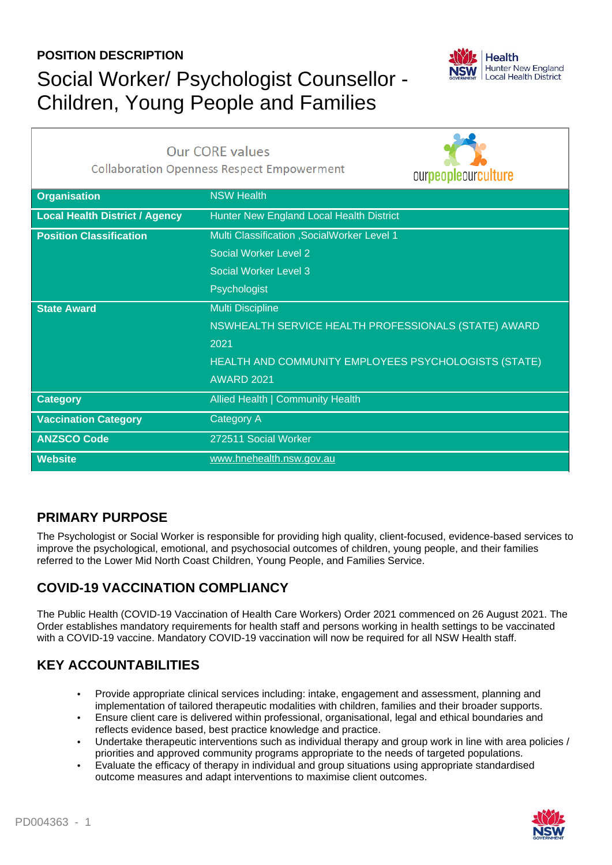### **POSITION DESCRIPTION**

# Social Worker/ Psychologist Counsellor - Children, Young People and Families



| <b>Our CORE values</b><br><b>Collaboration Openness Respect Empowerment</b> |                                                      | ourpeopleourculture |
|-----------------------------------------------------------------------------|------------------------------------------------------|---------------------|
| <b>Organisation</b>                                                         | <b>NSW Health</b>                                    |                     |
| <b>Local Health District / Agency</b>                                       | Hunter New England Local Health District             |                     |
| <b>Position Classification</b>                                              | Multi Classification , SocialWorker Level 1          |                     |
|                                                                             | Social Worker Level 2                                |                     |
|                                                                             | Social Worker Level 3                                |                     |
|                                                                             | Psychologist                                         |                     |
| <b>State Award</b>                                                          | <b>Multi Discipline</b>                              |                     |
|                                                                             | NSWHEALTH SERVICE HEALTH PROFESSIONALS (STATE) AWARD |                     |
|                                                                             | 2021                                                 |                     |
|                                                                             | HEALTH AND COMMUNITY EMPLOYEES PSYCHOLOGISTS (STATE) |                     |
|                                                                             | <b>AWARD 2021</b>                                    |                     |
| <b>Category</b>                                                             | Allied Health   Community Health                     |                     |
| <b>Vaccination Category</b>                                                 | Category A                                           |                     |
| <b>ANZSCO Code</b>                                                          | 272511 Social Worker                                 |                     |
| <b>Website</b>                                                              | www.hnehealth.nsw.gov.au                             |                     |

### **PRIMARY PURPOSE**

The Psychologist or Social Worker is responsible for providing high quality, client-focused, evidence-based services to improve the psychological, emotional, and psychosocial outcomes of children, young people, and their families referred to the Lower Mid North Coast Children, Young People, and Families Service.

### **COVID-19 VACCINATION COMPLIANCY**

The Public Health (COVID-19 Vaccination of Health Care Workers) Order 2021 commenced on 26 August 2021. The Order establishes mandatory requirements for health staff and persons working in health settings to be vaccinated with a COVID-19 vaccine. Mandatory COVID-19 vaccination will now be required for all NSW Health staff.

### **KEY ACCOUNTABILITIES**

- Provide appropriate clinical services including: intake, engagement and assessment, planning and implementation of tailored therapeutic modalities with children, families and their broader supports.
- Ensure client care is delivered within professional, organisational, legal and ethical boundaries and reflects evidence based, best practice knowledge and practice.
- Undertake therapeutic interventions such as individual therapy and group work in line with area policies / priorities and approved community programs appropriate to the needs of targeted populations.
- Evaluate the efficacy of therapy in individual and group situations using appropriate standardised outcome measures and adapt interventions to maximise client outcomes.

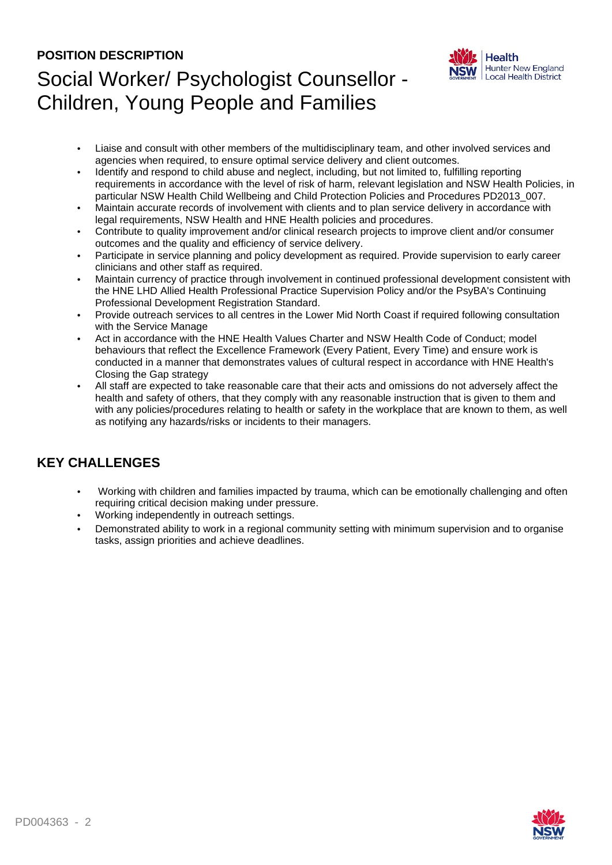#### **POSITION DESCRIPTION**

# Social Worker/ Psychologist Counsellor - Children, Young People and Families



- Liaise and consult with other members of the multidisciplinary team, and other involved services and agencies when required, to ensure optimal service delivery and client outcomes.
- Identify and respond to child abuse and neglect, including, but not limited to, fulfilling reporting requirements in accordance with the level of risk of harm, relevant legislation and NSW Health Policies, in particular NSW Health Child Wellbeing and Child Protection Policies and Procedures PD2013\_007.
- Maintain accurate records of involvement with clients and to plan service delivery in accordance with legal requirements, NSW Health and HNE Health policies and procedures.
- Contribute to quality improvement and/or clinical research projects to improve client and/or consumer outcomes and the quality and efficiency of service delivery.
- Participate in service planning and policy development as required. Provide supervision to early career clinicians and other staff as required.
- Maintain currency of practice through involvement in continued professional development consistent with the HNE LHD Allied Health Professional Practice Supervision Policy and/or the PsyBA's Continuing Professional Development Registration Standard.
- Provide outreach services to all centres in the Lower Mid North Coast if required following consultation with the Service Manage
- Act in accordance with the HNE Health Values Charter and NSW Health Code of Conduct; model behaviours that reflect the Excellence Framework (Every Patient, Every Time) and ensure work is conducted in a manner that demonstrates values of cultural respect in accordance with HNE Health's Closing the Gap strategy
- All staff are expected to take reasonable care that their acts and omissions do not adversely affect the health and safety of others, that they comply with any reasonable instruction that is given to them and with any policies/procedures relating to health or safety in the workplace that are known to them, as well as notifying any hazards/risks or incidents to their managers.

### **KEY CHALLENGES**

- Working with children and families impacted by trauma, which can be emotionally challenging and often requiring critical decision making under pressure.
- Working independently in outreach settings.
- Demonstrated ability to work in a regional community setting with minimum supervision and to organise tasks, assign priorities and achieve deadlines.